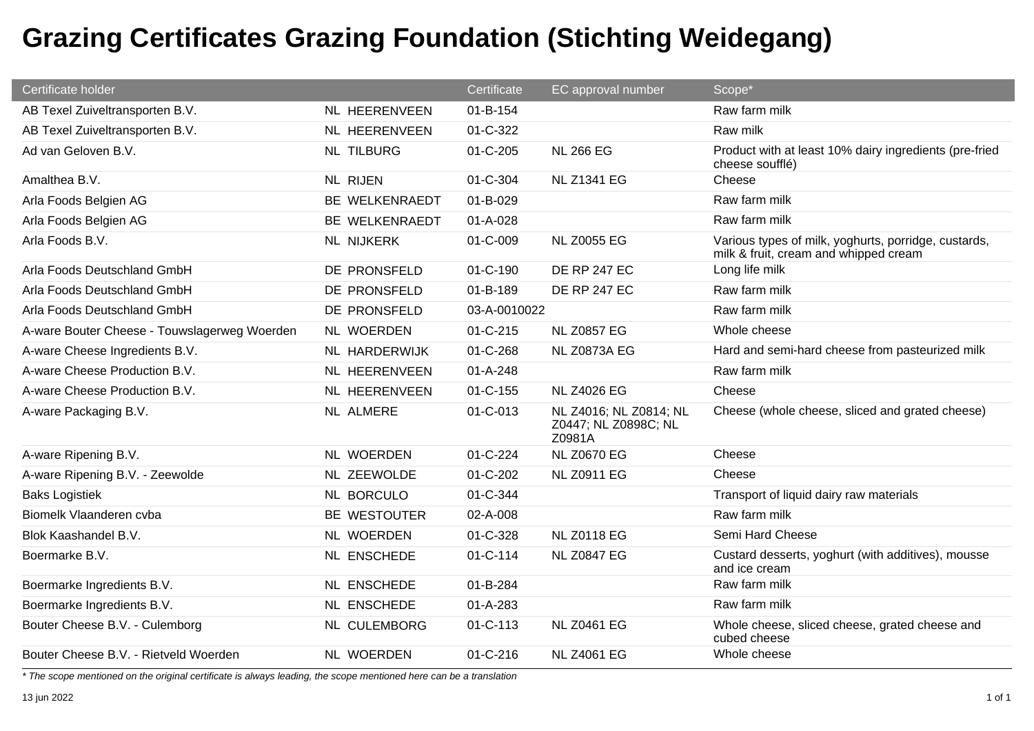| Certificate holder                           |                      | Certificate    | EC approval number                                       | Scope*                                                                                        |
|----------------------------------------------|----------------------|----------------|----------------------------------------------------------|-----------------------------------------------------------------------------------------------|
| AB Texel Zuiveltransporten B.V.              | NL HEERENVEEN        | 01-B-154       |                                                          | Raw farm milk                                                                                 |
| AB Texel Zuiveltransporten B.V.              | <b>NL HEERENVEEN</b> | 01-C-322       |                                                          | Raw milk                                                                                      |
| Ad van Geloven B.V.                          | <b>NL TILBURG</b>    | $01 - C - 205$ | <b>NL 266 EG</b>                                         | Product with at least 10% dairy ingredients (pre-fried<br>cheese soufflé)                     |
| Amalthea B.V.                                | <b>NL RIJEN</b>      | 01-C-304       | <b>NL Z1341 EG</b>                                       | Cheese                                                                                        |
| Arla Foods Belgien AG                        | BE WELKENRAEDT       | 01-B-029       |                                                          | Raw farm milk                                                                                 |
| Arla Foods Belgien AG                        | BE WELKENRAEDT       | 01-A-028       |                                                          | Raw farm milk                                                                                 |
| Arla Foods B.V.                              | NL NIJKERK           | 01-C-009       | <b>NL Z0055 EG</b>                                       | Various types of milk, yoghurts, porridge, custards,<br>milk & fruit, cream and whipped cream |
| Arla Foods Deutschland GmbH                  | DE PRONSFELD         | 01-C-190       | <b>DE RP 247 EC</b>                                      | Long life milk                                                                                |
| Arla Foods Deutschland GmbH                  | DE PRONSFELD         | 01-B-189       | <b>DE RP 247 EC</b>                                      | Raw farm milk                                                                                 |
| Arla Foods Deutschland GmbH                  | DE PRONSFELD         | 03-A-0010022   |                                                          | Raw farm milk                                                                                 |
| A-ware Bouter Cheese - Touwslagerweg Woerden | NL WOERDEN           | $01 - C - 215$ | <b>NL Z0857 EG</b>                                       | Whole cheese                                                                                  |
| A-ware Cheese Ingredients B.V.               | <b>NL HARDERWIJK</b> | 01-C-268       | <b>NL Z0873A EG</b>                                      | Hard and semi-hard cheese from pasteurized milk                                               |
| A-ware Cheese Production B.V.                | NL HEERENVEEN        | 01-A-248       |                                                          | Raw farm milk                                                                                 |
| A-ware Cheese Production B.V.                | NL HEERENVEEN        | $01 - C - 155$ | <b>NL Z4026 EG</b>                                       | Cheese                                                                                        |
| A-ware Packaging B.V.                        | NL ALMERE            | 01-C-013       | NL Z4016; NL Z0814; NL<br>Z0447; NL Z0898C; NL<br>Z0981A | Cheese (whole cheese, sliced and grated cheese)                                               |
| A-ware Ripening B.V.                         | NL WOERDEN           | 01-C-224       | <b>NL Z0670 EG</b>                                       | Cheese                                                                                        |
| A-ware Ripening B.V. - Zeewolde              | NL ZEEWOLDE          | 01-C-202       | <b>NL Z0911 EG</b>                                       | Cheese                                                                                        |
| <b>Baks Logistiek</b>                        | NL BORCULO           | 01-C-344       |                                                          | Transport of liquid dairy raw materials                                                       |
| Biomelk Vlaanderen cvba                      | BE WESTOUTER         | 02-A-008       |                                                          | Raw farm milk                                                                                 |
| Blok Kaashandel B.V.                         | NL WOERDEN           | 01-C-328       | <b>NL Z0118 EG</b>                                       | Semi Hard Cheese                                                                              |
| Boermarke B.V.                               | NL ENSCHEDE          | 01-C-114       | <b>NL Z0847 EG</b>                                       | Custard desserts, yoghurt (with additives), mousse<br>and ice cream                           |
| Boermarke Ingredients B.V.                   | NL ENSCHEDE          | 01-B-284       |                                                          | Raw farm milk                                                                                 |
| Boermarke Ingredients B.V.                   | <b>NL ENSCHEDE</b>   | $01 - A - 283$ |                                                          | Raw farm milk                                                                                 |
| Bouter Cheese B.V. - Culemborg               | <b>NL CULEMBORG</b>  | 01-C-113       | <b>NL Z0461 EG</b>                                       | Whole cheese, sliced cheese, grated cheese and<br>cubed cheese                                |
| Bouter Cheese B.V. - Rietveld Woerden        | NL WOERDEN           | $01 - C - 216$ | <b>NL Z4061 EG</b>                                       | Whole cheese                                                                                  |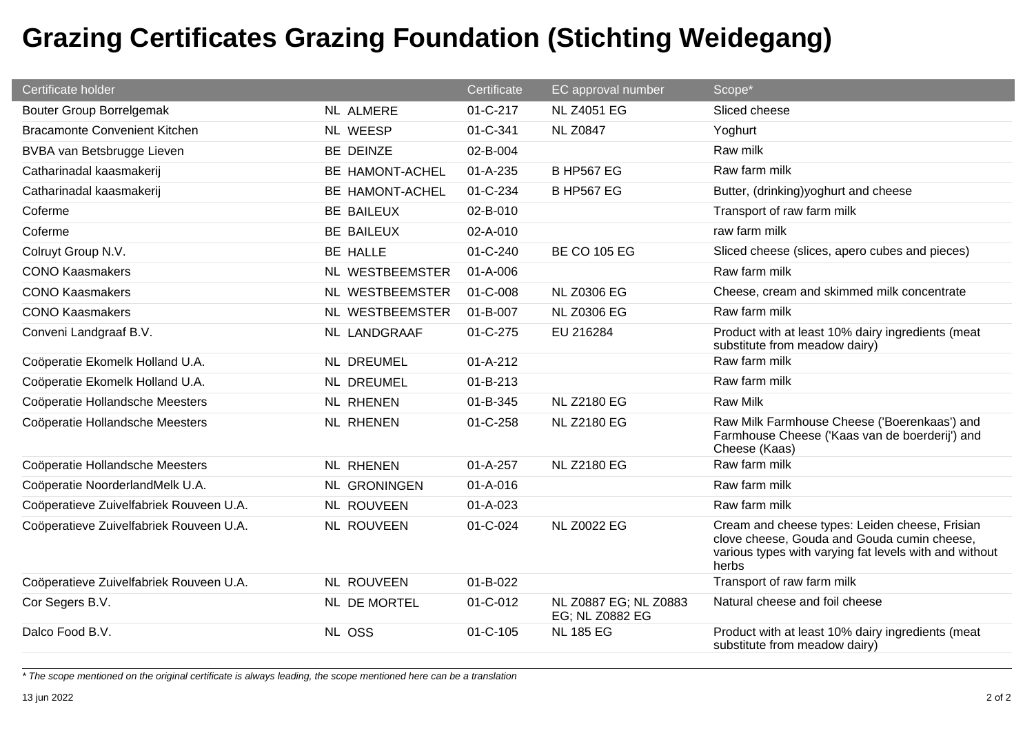| Certificate holder                      |                     | Certificate    | EC approval number                       | Scope*                                                                                                                                                           |
|-----------------------------------------|---------------------|----------------|------------------------------------------|------------------------------------------------------------------------------------------------------------------------------------------------------------------|
| <b>Bouter Group Borrelgemak</b>         | NL ALMERE           | 01-C-217       | <b>NL Z4051 EG</b>                       | Sliced cheese                                                                                                                                                    |
| <b>Bracamonte Convenient Kitchen</b>    | NL WEESP            | 01-C-341       | <b>NL Z0847</b>                          | Yoghurt                                                                                                                                                          |
| BVBA van Betsbrugge Lieven              | BE DEINZE           | 02-B-004       |                                          | Raw milk                                                                                                                                                         |
| Catharinadal kaasmakerij                | BE HAMONT-ACHEL     | $01 - A - 235$ | <b>B HP567 EG</b>                        | Raw farm milk                                                                                                                                                    |
| Catharinadal kaasmakerij                | BE HAMONT-ACHEL     | 01-C-234       | <b>B HP567 EG</b>                        | Butter, (drinking)yoghurt and cheese                                                                                                                             |
| Coferme                                 | BE BAILEUX          | 02-B-010       |                                          | Transport of raw farm milk                                                                                                                                       |
| Coferme                                 | <b>BE BAILEUX</b>   | 02-A-010       |                                          | raw farm milk                                                                                                                                                    |
| Colruyt Group N.V.                      | BE HALLE            | $01 - C - 240$ | <b>BE CO 105 EG</b>                      | Sliced cheese (slices, apero cubes and pieces)                                                                                                                   |
| <b>CONO Kaasmakers</b>                  | NL WESTBEEMSTER     | 01-A-006       |                                          | Raw farm milk                                                                                                                                                    |
| <b>CONO Kaasmakers</b>                  | NL WESTBEEMSTER     | 01-C-008       | <b>NL Z0306 EG</b>                       | Cheese, cream and skimmed milk concentrate                                                                                                                       |
| <b>CONO Kaasmakers</b>                  | NL WESTBEEMSTER     | 01-B-007       | <b>NL Z0306 EG</b>                       | Raw farm milk                                                                                                                                                    |
| Conveni Landgraaf B.V.                  | NL LANDGRAAF        | 01-C-275       | EU 216284                                | Product with at least 10% dairy ingredients (meat<br>substitute from meadow dairy)                                                                               |
| Coöperatie Ekomelk Holland U.A.         | NL DREUMEL          | $01 - A - 212$ |                                          | Raw farm milk                                                                                                                                                    |
| Coöperatie Ekomelk Holland U.A.         | <b>NL DREUMEL</b>   | 01-B-213       |                                          | Raw farm milk                                                                                                                                                    |
| Coöperatie Hollandsche Meesters         | <b>NL RHENEN</b>    | 01-B-345       | <b>NL Z2180 EG</b>                       | <b>Raw Milk</b>                                                                                                                                                  |
| Coöperatie Hollandsche Meesters         | <b>NL RHENEN</b>    | 01-C-258       | <b>NL Z2180 EG</b>                       | Raw Milk Farmhouse Cheese ('Boerenkaas') and<br>Farmhouse Cheese ('Kaas van de boerderij') and<br>Cheese (Kaas)                                                  |
| Coöperatie Hollandsche Meesters         | <b>NL RHENEN</b>    | $01 - A - 257$ | <b>NL Z2180 EG</b>                       | Raw farm milk                                                                                                                                                    |
| Coöperatie NoorderlandMelk U.A.         | <b>NL GRONINGEN</b> | $01 - A - 016$ |                                          | Raw farm milk                                                                                                                                                    |
| Coöperatieve Zuivelfabriek Rouveen U.A. | <b>NL ROUVEEN</b>   | $01 - A - 023$ |                                          | Raw farm milk                                                                                                                                                    |
| Coöperatieve Zuivelfabriek Rouveen U.A. | <b>NL ROUVEEN</b>   | 01-C-024       | <b>NL Z0022 EG</b>                       | Cream and cheese types: Leiden cheese, Frisian<br>clove cheese, Gouda and Gouda cumin cheese,<br>various types with varying fat levels with and without<br>herbs |
| Coöperatieve Zuivelfabriek Rouveen U.A. | <b>NL ROUVEEN</b>   | 01-B-022       |                                          | Transport of raw farm milk                                                                                                                                       |
| Cor Segers B.V.                         | NL DE MORTEL        | 01-C-012       | NL Z0887 EG; NL Z0883<br>EG; NL Z0882 EG | Natural cheese and foil cheese                                                                                                                                   |
| Dalco Food B.V.                         | NL OSS              | 01-C-105       | <b>NL 185 EG</b>                         | Product with at least 10% dairy ingredients (meat<br>substitute from meadow dairy)                                                                               |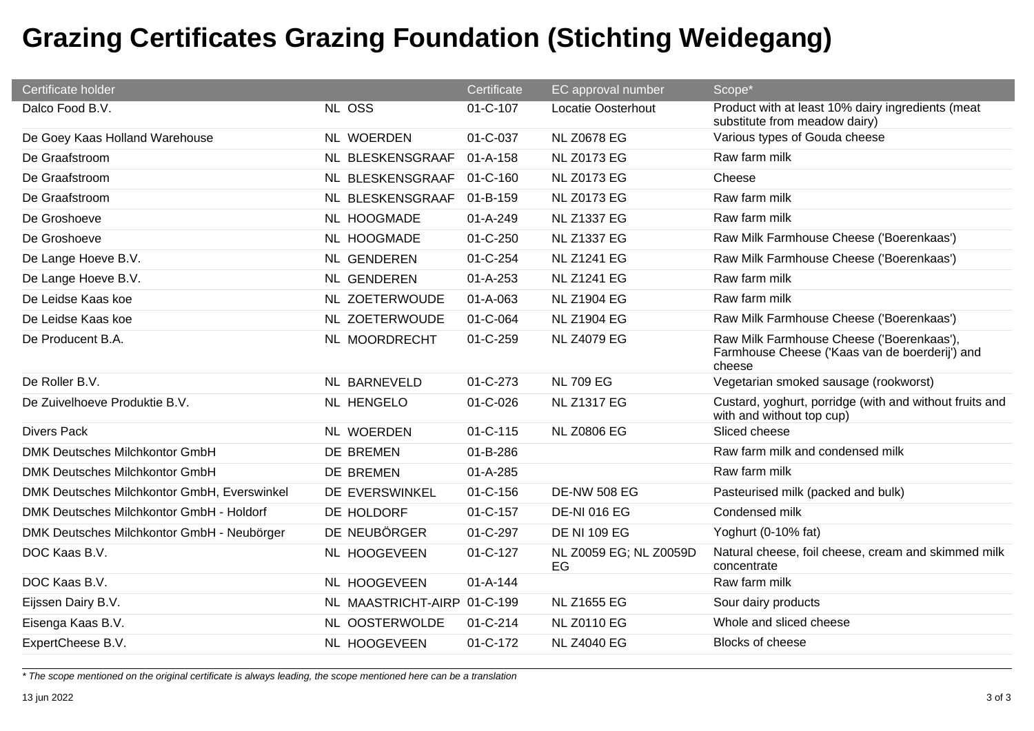| Certificate holder                          |                             | Certificate    | EC approval number           | Scope*                                                                                                |
|---------------------------------------------|-----------------------------|----------------|------------------------------|-------------------------------------------------------------------------------------------------------|
| Dalco Food B.V.                             | NL OSS                      | 01-C-107       | Locatie Oosterhout           | Product with at least 10% dairy ingredients (meat<br>substitute from meadow dairy)                    |
| De Goey Kaas Holland Warehouse              | NL WOERDEN                  | 01-C-037       | <b>NL Z0678 EG</b>           | Various types of Gouda cheese                                                                         |
| De Graafstroom                              | NL BLESKENSGRAAF            | $01 - A - 158$ | <b>NL Z0173 EG</b>           | Raw farm milk                                                                                         |
| De Graafstroom                              | NL BLESKENSGRAAF            | 01-C-160       | <b>NL Z0173 EG</b>           | Cheese                                                                                                |
| De Graafstroom                              | NL BLESKENSGRAAF            | 01-B-159       | <b>NL Z0173 EG</b>           | Raw farm milk                                                                                         |
| De Groshoeve                                | NL HOOGMADE                 | 01-A-249       | <b>NL Z1337 EG</b>           | Raw farm milk                                                                                         |
| De Groshoeve                                | NL HOOGMADE                 | $01 - C - 250$ | <b>NL Z1337 EG</b>           | Raw Milk Farmhouse Cheese ('Boerenkaas')                                                              |
| De Lange Hoeve B.V.                         | NL GENDEREN                 | 01-C-254       | <b>NL Z1241 EG</b>           | Raw Milk Farmhouse Cheese ('Boerenkaas')                                                              |
| De Lange Hoeve B.V.                         | NL GENDEREN                 | $01 - A - 253$ | <b>NL Z1241 EG</b>           | Raw farm milk                                                                                         |
| De Leidse Kaas koe                          | NL ZOETERWOUDE              | 01-A-063       | <b>NL Z1904 EG</b>           | Raw farm milk                                                                                         |
| De Leidse Kaas koe                          | <b>NL ZOETERWOUDE</b>       | 01-C-064       | <b>NL Z1904 EG</b>           | Raw Milk Farmhouse Cheese ('Boerenkaas')                                                              |
| De Producent B.A.                           | NL MOORDRECHT               | 01-C-259       | <b>NL Z4079 EG</b>           | Raw Milk Farmhouse Cheese ('Boerenkaas'),<br>Farmhouse Cheese ('Kaas van de boerderij') and<br>cheese |
| De Roller B.V.                              | <b>NL BARNEVELD</b>         | 01-C-273       | <b>NL 709 EG</b>             | Vegetarian smoked sausage (rookworst)                                                                 |
| De Zuivelhoeve Produktie B.V.               | <b>NL HENGELO</b>           | 01-C-026       | <b>NL Z1317 EG</b>           | Custard, yoghurt, porridge (with and without fruits and<br>with and without top cup)                  |
| <b>Divers Pack</b>                          | NL WOERDEN                  | $01 - C - 115$ | <b>NL Z0806 EG</b>           | Sliced cheese                                                                                         |
| DMK Deutsches Milchkontor GmbH              | DE BREMEN                   | 01-B-286       |                              | Raw farm milk and condensed milk                                                                      |
| DMK Deutsches Milchkontor GmbH              | DE BREMEN                   | 01-A-285       |                              | Raw farm milk                                                                                         |
| DMK Deutsches Milchkontor GmbH, Everswinkel | DE EVERSWINKEL              | $01 - C - 156$ | <b>DE-NW 508 EG</b>          | Pasteurised milk (packed and bulk)                                                                    |
| DMK Deutsches Milchkontor GmbH - Holdorf    | DE HOLDORF                  | 01-C-157       | <b>DE-NI 016 EG</b>          | Condensed milk                                                                                        |
| DMK Deutsches Milchkontor GmbH - Neubörger  | DE NEUBÖRGER                | 01-C-297       | <b>DE NI 109 EG</b>          | Yoghurt (0-10% fat)                                                                                   |
| DOC Kaas B.V.                               | NL HOOGEVEEN                | 01-C-127       | NL Z0059 EG; NL Z0059D<br>EG | Natural cheese, foil cheese, cream and skimmed milk<br>concentrate                                    |
| DOC Kaas B.V.                               | NL HOOGEVEEN                | $01 - A - 144$ |                              | Raw farm milk                                                                                         |
| Eijssen Dairy B.V.                          | NL MAASTRICHT-AIRP 01-C-199 |                | <b>NL Z1655 EG</b>           | Sour dairy products                                                                                   |
| Eisenga Kaas B.V.                           | NL OOSTERWOLDE              | $01 - C - 214$ | <b>NL Z0110 EG</b>           | Whole and sliced cheese                                                                               |
| ExpertCheese B.V.                           | NL HOOGEVEEN                | 01-C-172       | <b>NL Z4040 EG</b>           | <b>Blocks of cheese</b>                                                                               |

*\* The scope mentioned on the original certificate is always leading, the scope mentioned here can be a translation*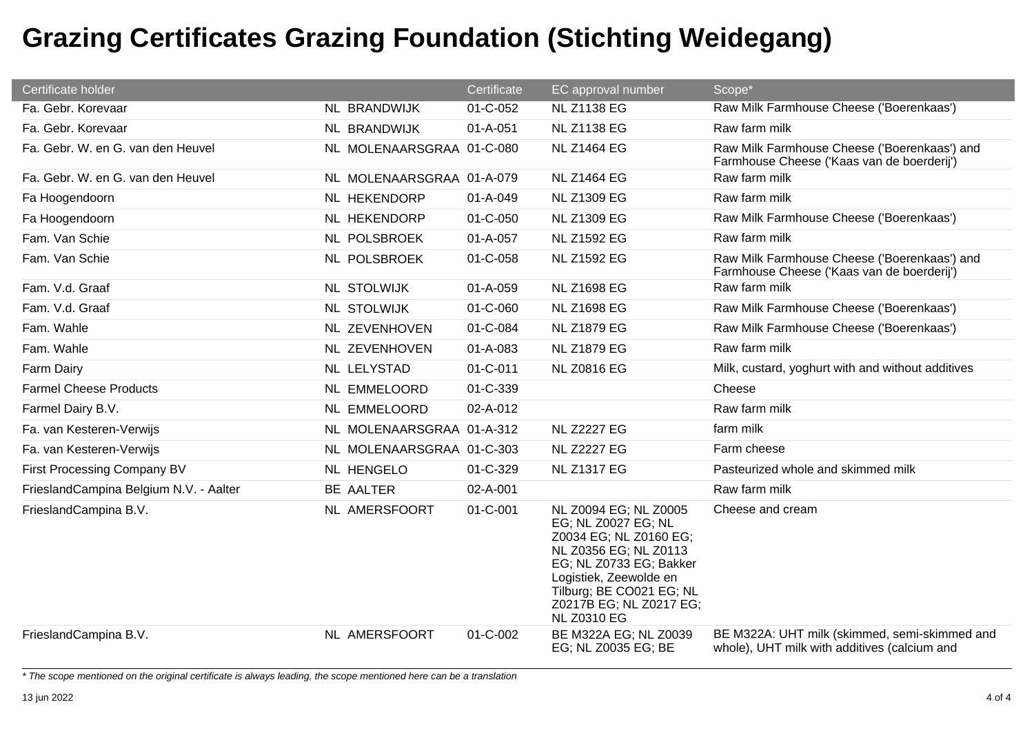| Certificate holder                     |                           | Certificate    | EC approval number                                                                                                                                                                                                                | Scope*                                                                                        |
|----------------------------------------|---------------------------|----------------|-----------------------------------------------------------------------------------------------------------------------------------------------------------------------------------------------------------------------------------|-----------------------------------------------------------------------------------------------|
| Fa. Gebr. Korevaar                     | NL BRANDWIJK              | 01-C-052       | <b>NL Z1138 EG</b>                                                                                                                                                                                                                | Raw Milk Farmhouse Cheese ('Boerenkaas')                                                      |
| Fa. Gebr. Korevaar                     | NL BRANDWIJK              | 01-A-051       | <b>NL Z1138 EG</b>                                                                                                                                                                                                                | Raw farm milk                                                                                 |
| Fa. Gebr. W. en G. van den Heuvel      | NL MOLENAARSGRAA 01-C-080 |                | <b>NL Z1464 EG</b>                                                                                                                                                                                                                | Raw Milk Farmhouse Cheese ('Boerenkaas') and<br>Farmhouse Cheese ('Kaas van de boerderij')    |
| Fa. Gebr. W. en G. van den Heuvel      | NL MOLENAARSGRAA 01-A-079 |                | <b>NL Z1464 EG</b>                                                                                                                                                                                                                | Raw farm milk                                                                                 |
| Fa Hoogendoorn                         | NL HEKENDORP              | 01-A-049       | <b>NL Z1309 EG</b>                                                                                                                                                                                                                | Raw farm milk                                                                                 |
| Fa Hoogendoorn                         | NL HEKENDORP              | 01-C-050       | <b>NL Z1309 EG</b>                                                                                                                                                                                                                | Raw Milk Farmhouse Cheese ('Boerenkaas')                                                      |
| Fam. Van Schie                         | NL POLSBROEK              | 01-A-057       | <b>NL Z1592 EG</b>                                                                                                                                                                                                                | Raw farm milk                                                                                 |
| Fam. Van Schie                         | NL POLSBROEK              | 01-C-058       | <b>NL Z1592 EG</b>                                                                                                                                                                                                                | Raw Milk Farmhouse Cheese ('Boerenkaas') and<br>Farmhouse Cheese ('Kaas van de boerderij')    |
| Fam. V.d. Graaf                        | <b>NL STOLWIJK</b>        | $01 - A - 059$ | <b>NL Z1698 EG</b>                                                                                                                                                                                                                | Raw farm milk                                                                                 |
| Fam. V.d. Graaf                        | <b>NL STOLWIJK</b>        | 01-C-060       | <b>NL Z1698 EG</b>                                                                                                                                                                                                                | Raw Milk Farmhouse Cheese ('Boerenkaas')                                                      |
| Fam. Wahle                             | NL ZEVENHOVEN             | 01-C-084       | <b>NL Z1879 EG</b>                                                                                                                                                                                                                | Raw Milk Farmhouse Cheese ('Boerenkaas')                                                      |
| Fam. Wahle                             | NL ZEVENHOVEN             | 01-A-083       | <b>NL Z1879 EG</b>                                                                                                                                                                                                                | Raw farm milk                                                                                 |
| <b>Farm Dairy</b>                      | NL LELYSTAD               | 01-C-011       | <b>NL Z0816 EG</b>                                                                                                                                                                                                                | Milk, custard, yoghurt with and without additives                                             |
| <b>Farmel Cheese Products</b>          | NL EMMELOORD              | 01-C-339       |                                                                                                                                                                                                                                   | Cheese                                                                                        |
| Farmel Dairy B.V.                      | NL EMMELOORD              | 02-A-012       |                                                                                                                                                                                                                                   | Raw farm milk                                                                                 |
| Fa. van Kesteren-Verwijs               | NL MOLENAARSGRAA 01-A-312 |                | <b>NL Z2227 EG</b>                                                                                                                                                                                                                | farm milk                                                                                     |
| Fa. van Kesteren-Verwijs               | NL MOLENAARSGRAA 01-C-303 |                | <b>NL Z2227 EG</b>                                                                                                                                                                                                                | Farm cheese                                                                                   |
| First Processing Company BV            | NL HENGELO                | 01-C-329       | <b>NL Z1317 EG</b>                                                                                                                                                                                                                | Pasteurized whole and skimmed milk                                                            |
| FrieslandCampina Belgium N.V. - Aalter | BE AALTER                 | 02-A-001       |                                                                                                                                                                                                                                   | Raw farm milk                                                                                 |
| FrieslandCampina B.V.                  | NL AMERSFOORT             | 01-C-001       | NL Z0094 EG; NL Z0005<br>EG; NL Z0027 EG; NL<br>Z0034 EG; NL Z0160 EG;<br>NL Z0356 EG; NL Z0113<br>EG; NL Z0733 EG; Bakker<br>Logistiek, Zeewolde en<br>Tilburg; BE CO021 EG; NL<br>Z0217B EG; NL Z0217 EG;<br><b>NL Z0310 EG</b> | Cheese and cream                                                                              |
| FrieslandCampina B.V.                  | NL AMERSFOORT             | 01-C-002       | BE M322A EG; NL Z0039<br>EG; NL Z0035 EG; BE                                                                                                                                                                                      | BE M322A: UHT milk (skimmed, semi-skimmed and<br>whole), UHT milk with additives (calcium and |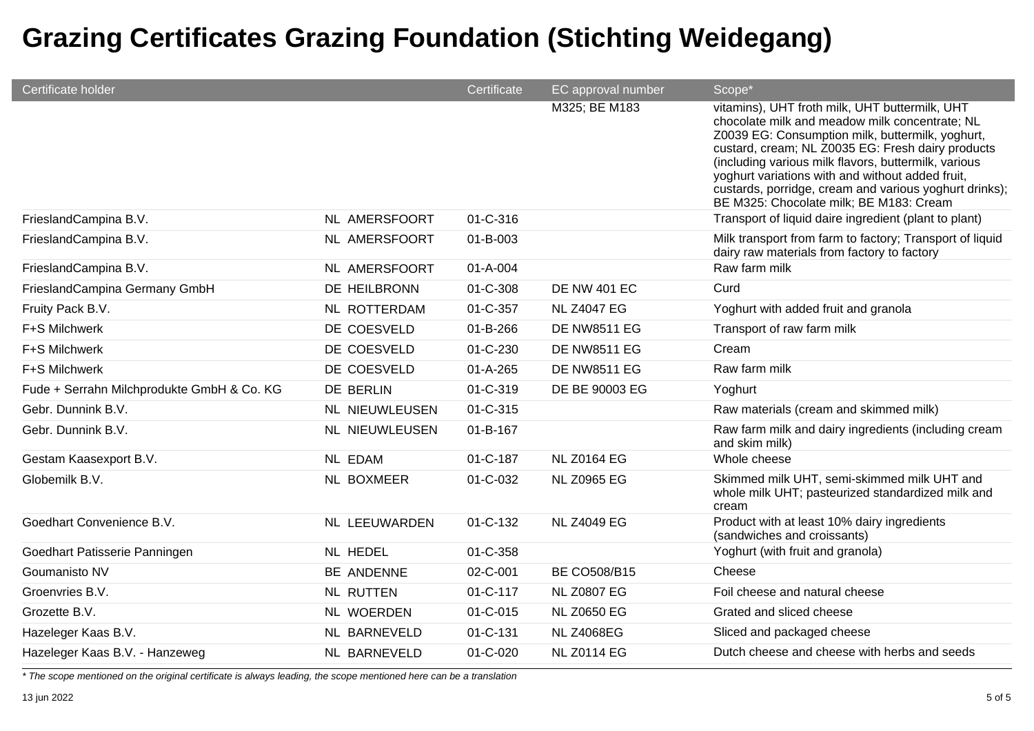| Certificate holder                         |                       | Certificate    | EC approval number  | Scope*                                                                                                                                                                                                                                                                                                                                                                                                                     |
|--------------------------------------------|-----------------------|----------------|---------------------|----------------------------------------------------------------------------------------------------------------------------------------------------------------------------------------------------------------------------------------------------------------------------------------------------------------------------------------------------------------------------------------------------------------------------|
|                                            |                       |                | M325; BE M183       | vitamins), UHT froth milk, UHT buttermilk, UHT<br>chocolate milk and meadow milk concentrate; NL<br>Z0039 EG: Consumption milk, buttermilk, yoghurt,<br>custard, cream; NL Z0035 EG: Fresh dairy products<br>(including various milk flavors, buttermilk, various<br>yoghurt variations with and without added fruit,<br>custards, porridge, cream and various yoghurt drinks);<br>BE M325: Chocolate milk; BE M183: Cream |
| FrieslandCampina B.V.                      | <b>NL AMERSFOORT</b>  | 01-C-316       |                     | Transport of liquid daire ingredient (plant to plant)                                                                                                                                                                                                                                                                                                                                                                      |
| FrieslandCampina B.V.                      | NL AMERSFOORT         | 01-B-003       |                     | Milk transport from farm to factory; Transport of liquid<br>dairy raw materials from factory to factory                                                                                                                                                                                                                                                                                                                    |
| FrieslandCampina B.V.                      | NL AMERSFOORT         | 01-A-004       |                     | Raw farm milk                                                                                                                                                                                                                                                                                                                                                                                                              |
| FrieslandCampina Germany GmbH              | DE HEILBRONN          | 01-C-308       | <b>DE NW 401 EC</b> | Curd                                                                                                                                                                                                                                                                                                                                                                                                                       |
| Fruity Pack B.V.                           | NL ROTTERDAM          | 01-C-357       | <b>NL Z4047 EG</b>  | Yoghurt with added fruit and granola                                                                                                                                                                                                                                                                                                                                                                                       |
| F+S Milchwerk                              | DE COESVELD           | 01-B-266       | <b>DE NW8511 EG</b> | Transport of raw farm milk                                                                                                                                                                                                                                                                                                                                                                                                 |
| F+S Milchwerk                              | DE COESVELD           | 01-C-230       | <b>DE NW8511 EG</b> | Cream                                                                                                                                                                                                                                                                                                                                                                                                                      |
| F+S Milchwerk                              | DE COESVELD           | $01 - A - 265$ | <b>DE NW8511 EG</b> | Raw farm milk                                                                                                                                                                                                                                                                                                                                                                                                              |
| Fude + Serrahn Milchprodukte GmbH & Co. KG | DE BERLIN             | 01-C-319       | DE BE 90003 EG      | Yoghurt                                                                                                                                                                                                                                                                                                                                                                                                                    |
| Gebr. Dunnink B.V.                         | <b>NL NIEUWLEUSEN</b> | 01-C-315       |                     | Raw materials (cream and skimmed milk)                                                                                                                                                                                                                                                                                                                                                                                     |
| Gebr. Dunnink B.V.                         | NL NIEUWLEUSEN        | 01-B-167       |                     | Raw farm milk and dairy ingredients (including cream<br>and skim milk)                                                                                                                                                                                                                                                                                                                                                     |
| Gestam Kaasexport B.V.                     | <b>NL EDAM</b>        | 01-C-187       | <b>NL Z0164 EG</b>  | Whole cheese                                                                                                                                                                                                                                                                                                                                                                                                               |
| Globemilk B.V.                             | NL BOXMEER            | 01-C-032       | <b>NL Z0965 EG</b>  | Skimmed milk UHT, semi-skimmed milk UHT and<br>whole milk UHT; pasteurized standardized milk and<br>cream                                                                                                                                                                                                                                                                                                                  |
| Goedhart Convenience B.V.                  | NL LEEUWARDEN         | 01-C-132       | <b>NL Z4049 EG</b>  | Product with at least 10% dairy ingredients<br>(sandwiches and croissants)                                                                                                                                                                                                                                                                                                                                                 |
| Goedhart Patisserie Panningen              | NL HEDEL              | 01-C-358       |                     | Yoghurt (with fruit and granola)                                                                                                                                                                                                                                                                                                                                                                                           |
| Goumanisto NV                              | BE ANDENNE            | 02-C-001       | <b>BE CO508/B15</b> | Cheese                                                                                                                                                                                                                                                                                                                                                                                                                     |
| Groenvries B.V.                            | <b>NL RUTTEN</b>      | 01-C-117       | <b>NL Z0807 EG</b>  | Foil cheese and natural cheese                                                                                                                                                                                                                                                                                                                                                                                             |
| Grozette B.V.                              | NL WOERDEN            | 01-C-015       | <b>NL Z0650 EG</b>  | Grated and sliced cheese                                                                                                                                                                                                                                                                                                                                                                                                   |
| Hazeleger Kaas B.V.                        | NL BARNEVELD          | 01-C-131       | <b>NL Z4068EG</b>   | Sliced and packaged cheese                                                                                                                                                                                                                                                                                                                                                                                                 |
| Hazeleger Kaas B.V. - Hanzeweg             | NL BARNEVELD          | 01-C-020       | <b>NL Z0114 EG</b>  | Dutch cheese and cheese with herbs and seeds                                                                                                                                                                                                                                                                                                                                                                               |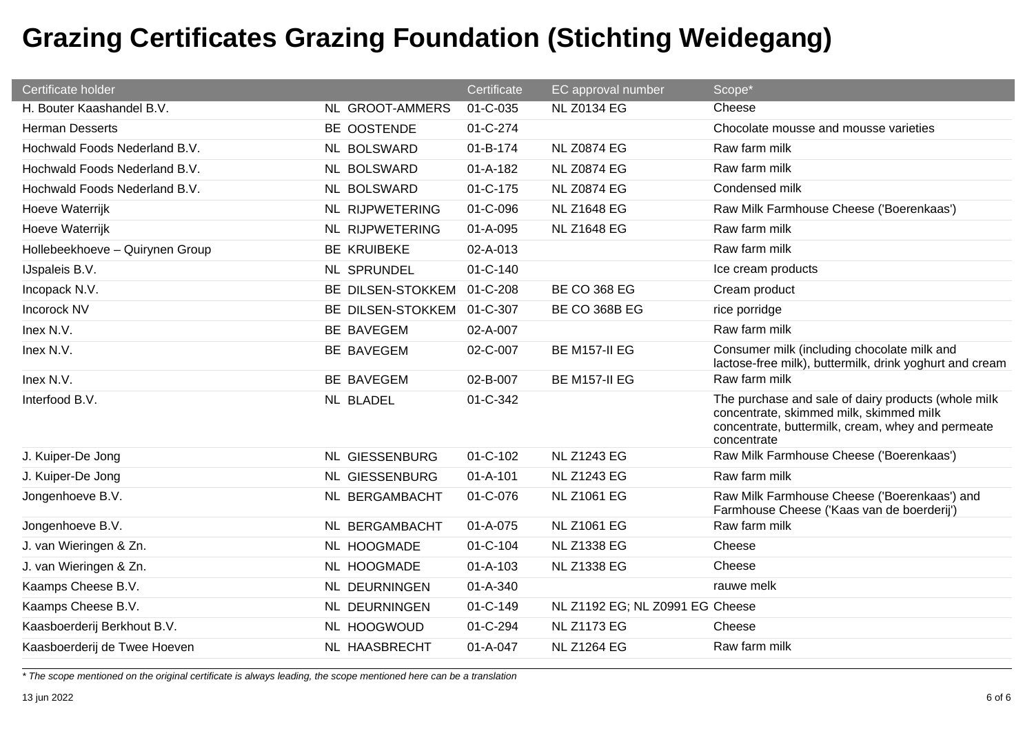| Certificate holder              |                       | Certificate    | EC approval number              | Scope*                                                                                                                                                             |
|---------------------------------|-----------------------|----------------|---------------------------------|--------------------------------------------------------------------------------------------------------------------------------------------------------------------|
| H. Bouter Kaashandel B.V.       | NL GROOT-AMMERS       | 01-C-035       | <b>NL Z0134 EG</b>              | Cheese                                                                                                                                                             |
| <b>Herman Desserts</b>          | BE OOSTENDE           | 01-C-274       |                                 | Chocolate mousse and mousse varieties                                                                                                                              |
| Hochwald Foods Nederland B.V.   | NL BOLSWARD           | 01-B-174       | <b>NL Z0874 EG</b>              | Raw farm milk                                                                                                                                                      |
| Hochwald Foods Nederland B.V.   | NL BOLSWARD           | $01 - A - 182$ | <b>NL Z0874 EG</b>              | Raw farm milk                                                                                                                                                      |
| Hochwald Foods Nederland B.V.   | NL BOLSWARD           | 01-C-175       | <b>NL Z0874 EG</b>              | Condensed milk                                                                                                                                                     |
| Hoeve Waterrijk                 | NL RIJPWETERING       | 01-C-096       | <b>NL Z1648 EG</b>              | Raw Milk Farmhouse Cheese ('Boerenkaas')                                                                                                                           |
| Hoeve Waterrijk                 | NL RIJPWETERING       | 01-A-095       | <b>NL Z1648 EG</b>              | Raw farm milk                                                                                                                                                      |
| Hollebeekhoeve - Quirynen Group | <b>BE KRUIBEKE</b>    | 02-A-013       |                                 | Raw farm milk                                                                                                                                                      |
| IJspaleis B.V.                  | NL SPRUNDEL           | $01 - C - 140$ |                                 | Ice cream products                                                                                                                                                 |
| Incopack N.V.                   | BE DILSEN-STOKKEM     | 01-C-208       | <b>BE CO 368 EG</b>             | Cream product                                                                                                                                                      |
| Incorock NV                     | BE DILSEN-STOKKEM     | 01-C-307       | BE CO 368B EG                   | rice porridge                                                                                                                                                      |
| Inex N.V.                       | BE BAVEGEM            | 02-A-007       |                                 | Raw farm milk                                                                                                                                                      |
| Inex N.V.                       | BE BAVEGEM            | 02-C-007       | <b>BE M157-II EG</b>            | Consumer milk (including chocolate milk and<br>lactose-free milk), buttermilk, drink yoghurt and cream                                                             |
| Inex N.V.                       | BE BAVEGEM            | 02-B-007       | <b>BE M157-II EG</b>            | Raw farm milk                                                                                                                                                      |
| Interfood B.V.                  | NL BLADEL             | 01-C-342       |                                 | The purchase and sale of dairy products (whole milk<br>concentrate, skimmed milk, skimmed milk<br>concentrate, buttermilk, cream, whey and permeate<br>concentrate |
| J. Kuiper-De Jong               | <b>NL GIESSENBURG</b> | $01 - C - 102$ | <b>NL Z1243 EG</b>              | Raw Milk Farmhouse Cheese ('Boerenkaas')                                                                                                                           |
| J. Kuiper-De Jong               | <b>NL GIESSENBURG</b> | $01 - A - 101$ | <b>NL Z1243 EG</b>              | Raw farm milk                                                                                                                                                      |
| Jongenhoeve B.V.                | NL BERGAMBACHT        | 01-C-076       | <b>NL Z1061 EG</b>              | Raw Milk Farmhouse Cheese ('Boerenkaas') and<br>Farmhouse Cheese ('Kaas van de boerderij')                                                                         |
| Jongenhoeve B.V.                | NL BERGAMBACHT        | 01-A-075       | <b>NL Z1061 EG</b>              | Raw farm milk                                                                                                                                                      |
| J. van Wieringen & Zn.          | NL HOOGMADE           | $01 - C - 104$ | <b>NL Z1338 EG</b>              | Cheese                                                                                                                                                             |
| J. van Wieringen & Zn.          | NL HOOGMADE           | $01 - A - 103$ | <b>NL Z1338 EG</b>              | Cheese                                                                                                                                                             |
| Kaamps Cheese B.V.              | NL DEURNINGEN         | 01-A-340       |                                 | rauwe melk                                                                                                                                                         |
| Kaamps Cheese B.V.              | NL DEURNINGEN         | 01-C-149       | NL Z1192 EG; NL Z0991 EG Cheese |                                                                                                                                                                    |
| Kaasboerderij Berkhout B.V.     | NL HOOGWOUD           | 01-C-294       | <b>NL Z1173 EG</b>              | Cheese                                                                                                                                                             |
| Kaasboerderij de Twee Hoeven    | NL HAASBRECHT         | $01 - A - 047$ | <b>NL Z1264 EG</b>              | Raw farm milk                                                                                                                                                      |

*\* The scope mentioned on the original certificate is always leading, the scope mentioned here can be a translation*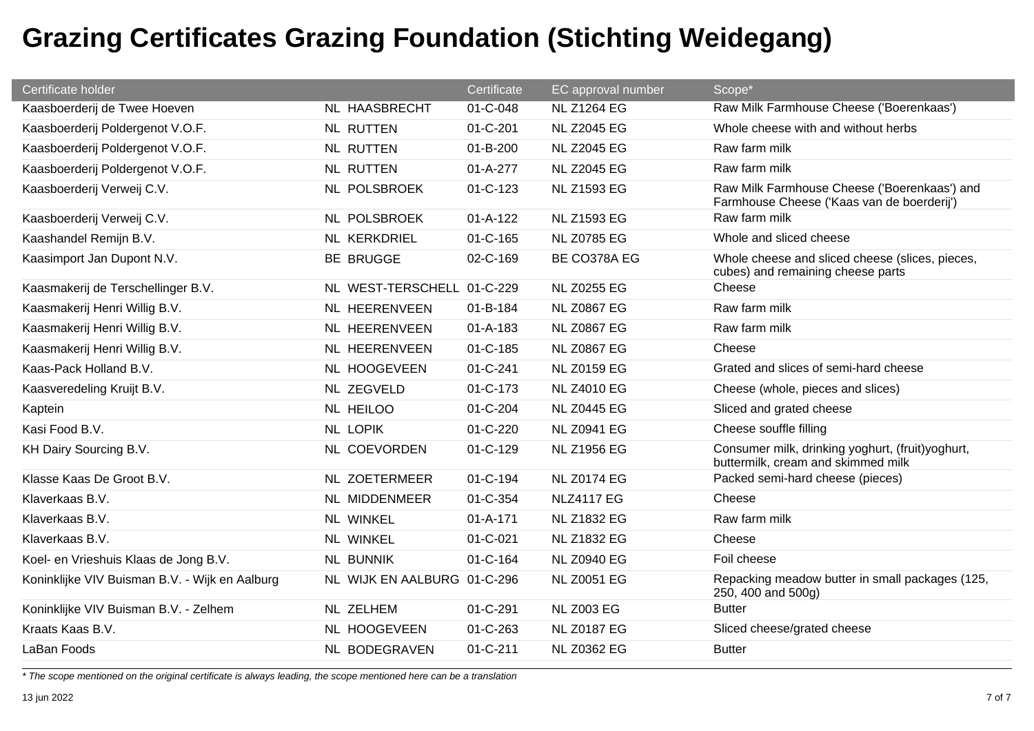| Certificate holder                             |                             | Certificate    | EC approval number | Scope*                                                                                     |
|------------------------------------------------|-----------------------------|----------------|--------------------|--------------------------------------------------------------------------------------------|
| Kaasboerderij de Twee Hoeven                   | <b>NL HAASBRECHT</b>        | 01-C-048       | <b>NL Z1264 EG</b> | Raw Milk Farmhouse Cheese ('Boerenkaas')                                                   |
| Kaasboerderij Poldergenot V.O.F.               | <b>NL RUTTEN</b>            | 01-C-201       | <b>NL Z2045 EG</b> | Whole cheese with and without herbs                                                        |
| Kaasboerderij Poldergenot V.O.F.               | <b>NL RUTTEN</b>            | $01 - B - 200$ | <b>NL Z2045 EG</b> | Raw farm milk                                                                              |
| Kaasboerderij Poldergenot V.O.F.               | <b>NL RUTTEN</b>            | $01 - A - 277$ | <b>NL Z2045 EG</b> | Raw farm milk                                                                              |
| Kaasboerderij Verweij C.V.                     | NL POLSBROEK                | $01 - C - 123$ | <b>NL Z1593 EG</b> | Raw Milk Farmhouse Cheese ('Boerenkaas') and<br>Farmhouse Cheese ('Kaas van de boerderij') |
| Kaasboerderij Verweij C.V.                     | NL POLSBROEK                | $01 - A - 122$ | <b>NL Z1593 EG</b> | Raw farm milk                                                                              |
| Kaashandel Remijn B.V.                         | NL KERKDRIEL                | 01-C-165       | <b>NL Z0785 EG</b> | Whole and sliced cheese                                                                    |
| Kaasimport Jan Dupont N.V.                     | <b>BE BRUGGE</b>            | 02-C-169       | BE CO378A EG       | Whole cheese and sliced cheese (slices, pieces,<br>cubes) and remaining cheese parts       |
| Kaasmakerij de Terschellinger B.V.             | NL WEST-TERSCHELL 01-C-229  |                | <b>NL Z0255 EG</b> | Cheese                                                                                     |
| Kaasmakerij Henri Willig B.V.                  | NL HEERENVEEN               | 01-B-184       | <b>NL Z0867 EG</b> | Raw farm milk                                                                              |
| Kaasmakerij Henri Willig B.V.                  | NL HEERENVEEN               | $01 - A - 183$ | <b>NL Z0867 EG</b> | Raw farm milk                                                                              |
| Kaasmakerij Henri Willig B.V.                  | NL HEERENVEEN               | 01-C-185       | <b>NL Z0867 EG</b> | Cheese                                                                                     |
| Kaas-Pack Holland B.V.                         | NL HOOGEVEEN                | 01-C-241       | <b>NL Z0159 EG</b> | Grated and slices of semi-hard cheese                                                      |
| Kaasveredeling Kruijt B.V.                     | NL ZEGVELD                  | 01-C-173       | <b>NL Z4010 EG</b> | Cheese (whole, pieces and slices)                                                          |
| Kaptein                                        | NL HEILOO                   | 01-C-204       | <b>NL Z0445 EG</b> | Sliced and grated cheese                                                                   |
| Kasi Food B.V.                                 | <b>NL LOPIK</b>             | 01-C-220       | <b>NL Z0941 EG</b> | Cheese souffle filling                                                                     |
| KH Dairy Sourcing B.V.                         | NL COEVORDEN                | 01-C-129       | <b>NL Z1956 EG</b> | Consumer milk, drinking yoghurt, (fruit)yoghurt,<br>buttermilk, cream and skimmed milk     |
| Klasse Kaas De Groot B.V.                      | <b>NL ZOETERMEER</b>        | 01-C-194       | <b>NL Z0174 EG</b> | Packed semi-hard cheese (pieces)                                                           |
| Klaverkaas B.V.                                | NL MIDDENMEER               | 01-C-354       | <b>NLZ4117 EG</b>  | Cheese                                                                                     |
| Klaverkaas B.V.                                | NL WINKEL                   | $01 - A - 171$ | <b>NL Z1832 EG</b> | Raw farm milk                                                                              |
| Klaverkaas B.V.                                | <b>NL WINKEL</b>            | 01-C-021       | <b>NL Z1832 EG</b> | Cheese                                                                                     |
| Koel- en Vrieshuis Klaas de Jong B.V.          | <b>NL BUNNIK</b>            | 01-C-164       | <b>NL Z0940 EG</b> | Foil cheese                                                                                |
| Koninklijke VIV Buisman B.V. - Wijk en Aalburg | NL WIJK EN AALBURG 01-C-296 |                | <b>NL Z0051 EG</b> | Repacking meadow butter in small packages (125,<br>250, 400 and 500g)                      |
| Koninklijke VIV Buisman B.V. - Zelhem          | NL ZELHEM                   | 01-C-291       | <b>NL Z003 EG</b>  | <b>Butter</b>                                                                              |
| Kraats Kaas B.V.                               | NL HOOGEVEEN                | 01-C-263       | <b>NL Z0187 EG</b> | Sliced cheese/grated cheese                                                                |
| LaBan Foods                                    | NL BODEGRAVEN               | 01-C-211       | <b>NL Z0362 EG</b> | <b>Butter</b>                                                                              |
|                                                |                             |                |                    |                                                                                            |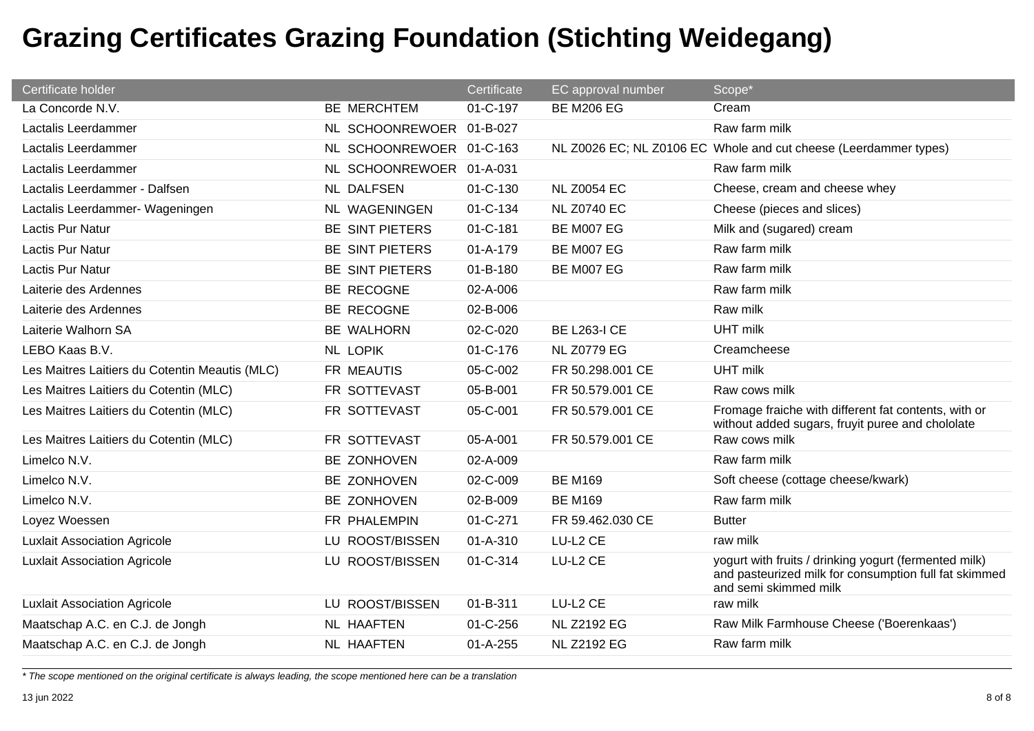| Certificate holder                             |                          | Certificate    | EC approval number  | Scope*                                                                                                                                  |
|------------------------------------------------|--------------------------|----------------|---------------------|-----------------------------------------------------------------------------------------------------------------------------------------|
| La Concorde N.V.                               | BE MERCHTEM              | 01-C-197       | <b>BE M206 EG</b>   | Cream                                                                                                                                   |
| Lactalis Leerdammer                            | NL SCHOONREWOER 01-B-027 |                |                     | Raw farm milk                                                                                                                           |
| Lactalis Leerdammer                            | NL SCHOONREWOER 01-C-163 |                |                     | NL Z0026 EC; NL Z0106 EC Whole and cut cheese (Leerdammer types)                                                                        |
| Lactalis Leerdammer                            | NL SCHOONREWOER 01-A-031 |                |                     | Raw farm milk                                                                                                                           |
| Lactalis Leerdammer - Dalfsen                  | NL DALFSEN               | $01 - C - 130$ | <b>NL Z0054 EC</b>  | Cheese, cream and cheese whey                                                                                                           |
| Lactalis Leerdammer- Wageningen                | NL WAGENINGEN            | 01-C-134       | <b>NL Z0740 EC</b>  | Cheese (pieces and slices)                                                                                                              |
| Lactis Pur Natur                               | BE SINT PIETERS          | 01-C-181       | BE M007 EG          | Milk and (sugared) cream                                                                                                                |
| <b>Lactis Pur Natur</b>                        | BE SINT PIETERS          | $01 - A - 179$ | <b>BE M007 EG</b>   | Raw farm milk                                                                                                                           |
| Lactis Pur Natur                               | BE SINT PIETERS          | $01 - B - 180$ | BE M007 EG          | Raw farm milk                                                                                                                           |
| Laiterie des Ardennes                          | BE RECOGNE               | 02-A-006       |                     | Raw farm milk                                                                                                                           |
| Laiterie des Ardennes                          | BE RECOGNE               | 02-B-006       |                     | Raw milk                                                                                                                                |
| Laiterie Walhorn SA                            | BE WALHORN               | 02-C-020       | <b>BE L263-I CE</b> | <b>UHT milk</b>                                                                                                                         |
| LEBO Kaas B.V.                                 | <b>NL LOPIK</b>          | 01-C-176       | <b>NL Z0779 EG</b>  | Creamcheese                                                                                                                             |
| Les Maitres Laitiers du Cotentin Meautis (MLC) | FR MEAUTIS               | 05-C-002       | FR 50.298.001 CE    | <b>UHT</b> milk                                                                                                                         |
| Les Maitres Laitiers du Cotentin (MLC)         | FR SOTTEVAST             | 05-B-001       | FR 50.579.001 CE    | Raw cows milk                                                                                                                           |
| Les Maitres Laitiers du Cotentin (MLC)         | FR SOTTEVAST             | 05-C-001       | FR 50.579.001 CE    | Fromage fraiche with different fat contents, with or<br>without added sugars, fruyit puree and chololate                                |
| Les Maitres Laitiers du Cotentin (MLC)         | FR SOTTEVAST             | 05-A-001       | FR 50.579.001 CE    | Raw cows milk                                                                                                                           |
| Limelco N.V.                                   | BE ZONHOVEN              | 02-A-009       |                     | Raw farm milk                                                                                                                           |
| Limelco N.V.                                   | BE ZONHOVEN              | 02-C-009       | <b>BE M169</b>      | Soft cheese (cottage cheese/kwark)                                                                                                      |
| Limelco N.V.                                   | BE ZONHOVEN              | 02-B-009       | <b>BE M169</b>      | Raw farm milk                                                                                                                           |
| Loyez Woessen                                  | FR PHALEMPIN             | 01-C-271       | FR 59.462.030 CE    | <b>Butter</b>                                                                                                                           |
| <b>Luxlait Association Agricole</b>            | LU ROOST/BISSEN          | 01-A-310       | LU-L2 CE            | raw milk                                                                                                                                |
| <b>Luxlait Association Agricole</b>            | LU ROOST/BISSEN          | 01-C-314       | LU-L2 CE            | yogurt with fruits / drinking yogurt (fermented milk)<br>and pasteurized milk for consumption full fat skimmed<br>and semi skimmed milk |
| <b>Luxlait Association Agricole</b>            | LU ROOST/BISSEN          | 01-B-311       | LU-L2 CE            | raw milk                                                                                                                                |
| Maatschap A.C. en C.J. de Jongh                | <b>NL HAAFTEN</b>        | $01 - C - 256$ | <b>NL Z2192 EG</b>  | Raw Milk Farmhouse Cheese ('Boerenkaas')                                                                                                |
| Maatschap A.C. en C.J. de Jongh                | NL HAAFTEN               | $01 - A - 255$ | <b>NL Z2192 EG</b>  | Raw farm milk                                                                                                                           |

*\* The scope mentioned on the original certificate is always leading, the scope mentioned here can be a translation*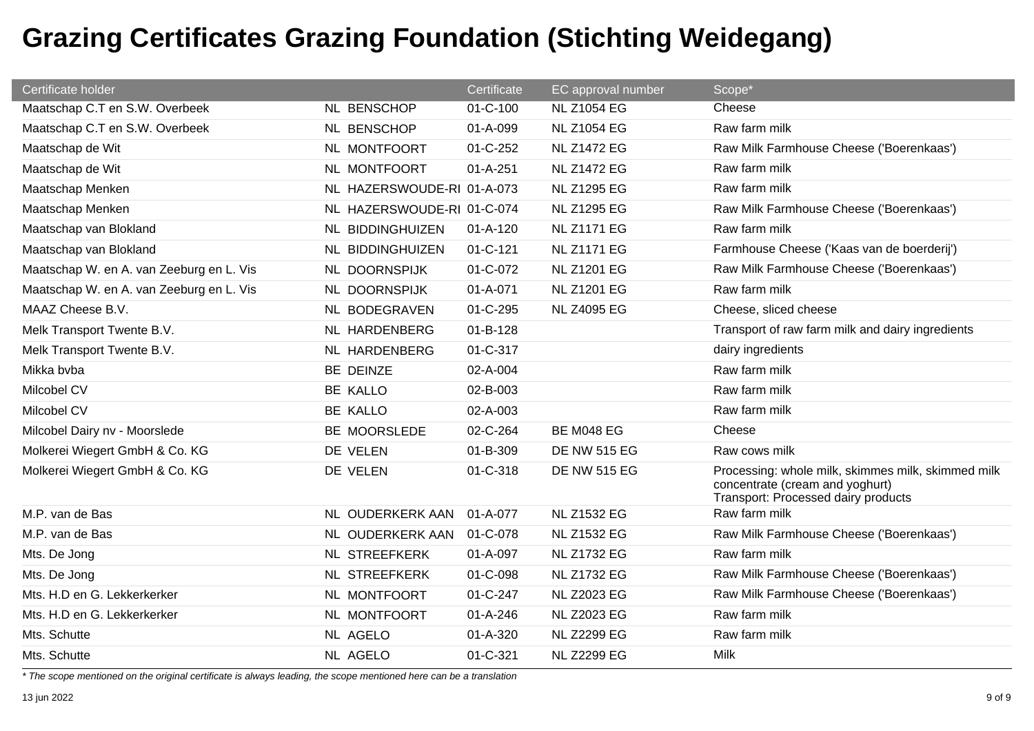| Certificate holder                       |                            | Certificate    | EC approval number  | Scope*                                                                                                                       |
|------------------------------------------|----------------------------|----------------|---------------------|------------------------------------------------------------------------------------------------------------------------------|
| Maatschap C.T en S.W. Overbeek           | NL BENSCHOP                | $01 - C - 100$ | <b>NL Z1054 EG</b>  | Cheese                                                                                                                       |
| Maatschap C.T en S.W. Overbeek           | NL BENSCHOP                | 01-A-099       | <b>NL Z1054 EG</b>  | Raw farm milk                                                                                                                |
| Maatschap de Wit                         | NL MONTFOORT               | 01-C-252       | <b>NL Z1472 EG</b>  | Raw Milk Farmhouse Cheese ('Boerenkaas')                                                                                     |
| Maatschap de Wit                         | NL MONTFOORT               | $01 - A - 251$ | <b>NL Z1472 EG</b>  | Raw farm milk                                                                                                                |
| Maatschap Menken                         | NL HAZERSWOUDE-RI 01-A-073 |                | <b>NL Z1295 EG</b>  | Raw farm milk                                                                                                                |
| Maatschap Menken                         | NL HAZERSWOUDE-RI 01-C-074 |                | <b>NL Z1295 EG</b>  | Raw Milk Farmhouse Cheese ('Boerenkaas')                                                                                     |
| Maatschap van Blokland                   | NL BIDDINGHUIZEN           | $01 - A - 120$ | <b>NL Z1171 EG</b>  | Raw farm milk                                                                                                                |
| Maatschap van Blokland                   | NL BIDDINGHUIZEN           | 01-C-121       | <b>NL Z1171 EG</b>  | Farmhouse Cheese ('Kaas van de boerderij')                                                                                   |
| Maatschap W. en A. van Zeeburg en L. Vis | NL DOORNSPIJK              | 01-C-072       | <b>NL Z1201 EG</b>  | Raw Milk Farmhouse Cheese ('Boerenkaas')                                                                                     |
| Maatschap W. en A. van Zeeburg en L. Vis | NL DOORNSPIJK              | 01-A-071       | <b>NL Z1201 EG</b>  | Raw farm milk                                                                                                                |
| MAAZ Cheese B.V.                         | NL BODEGRAVEN              | 01-C-295       | <b>NL Z4095 EG</b>  | Cheese, sliced cheese                                                                                                        |
| Melk Transport Twente B.V.               | NL HARDENBERG              | 01-B-128       |                     | Transport of raw farm milk and dairy ingredients                                                                             |
| Melk Transport Twente B.V.               | NL HARDENBERG              | 01-C-317       |                     | dairy ingredients                                                                                                            |
| Mikka bvba                               | BE DEINZE                  | 02-A-004       |                     | Raw farm milk                                                                                                                |
| Milcobel CV                              | <b>BE KALLO</b>            | 02-B-003       |                     | Raw farm milk                                                                                                                |
| Milcobel CV                              | <b>BE KALLO</b>            | 02-A-003       |                     | Raw farm milk                                                                                                                |
| Milcobel Dairy nv - Moorslede            | BE MOORSLEDE               | 02-C-264       | <b>BE M048 EG</b>   | Cheese                                                                                                                       |
| Molkerei Wiegert GmbH & Co. KG           | DE VELEN                   | 01-B-309       | <b>DE NW 515 EG</b> | Raw cows milk                                                                                                                |
| Molkerei Wiegert GmbH & Co. KG           | DE VELEN                   | 01-C-318       | <b>DE NW 515 EG</b> | Processing: whole milk, skimmes milk, skimmed milk<br>concentrate (cream and yoghurt)<br>Transport: Processed dairy products |
| M.P. van de Bas                          | NL OUDERKERK AAN           | 01-A-077       | <b>NL Z1532 EG</b>  | Raw farm milk                                                                                                                |
| M.P. van de Bas                          | NL OUDERKERK AAN           | 01-C-078       | <b>NL Z1532 EG</b>  | Raw Milk Farmhouse Cheese ('Boerenkaas')                                                                                     |
| Mts. De Jong                             | NL STREEFKERK              | 01-A-097       | <b>NL Z1732 EG</b>  | Raw farm milk                                                                                                                |
| Mts. De Jong                             | <b>NL STREEFKERK</b>       | 01-C-098       | <b>NL Z1732 EG</b>  | Raw Milk Farmhouse Cheese ('Boerenkaas')                                                                                     |
| Mts. H.D en G. Lekkerkerker              | NL MONTFOORT               | 01-C-247       | <b>NL Z2023 EG</b>  | Raw Milk Farmhouse Cheese ('Boerenkaas')                                                                                     |
| Mts. H.D en G. Lekkerkerker              | NL MONTFOORT               | $01 - A - 246$ | <b>NL Z2023 EG</b>  | Raw farm milk                                                                                                                |
| Mts. Schutte                             | NL AGELO                   | $01 - A - 320$ | <b>NL Z2299 EG</b>  | Raw farm milk                                                                                                                |
| Mts. Schutte                             | NL AGELO                   | 01-C-321       | <b>NL Z2299 EG</b>  | <b>Milk</b>                                                                                                                  |

*\* The scope mentioned on the original certificate is always leading, the scope mentioned here can be a translation*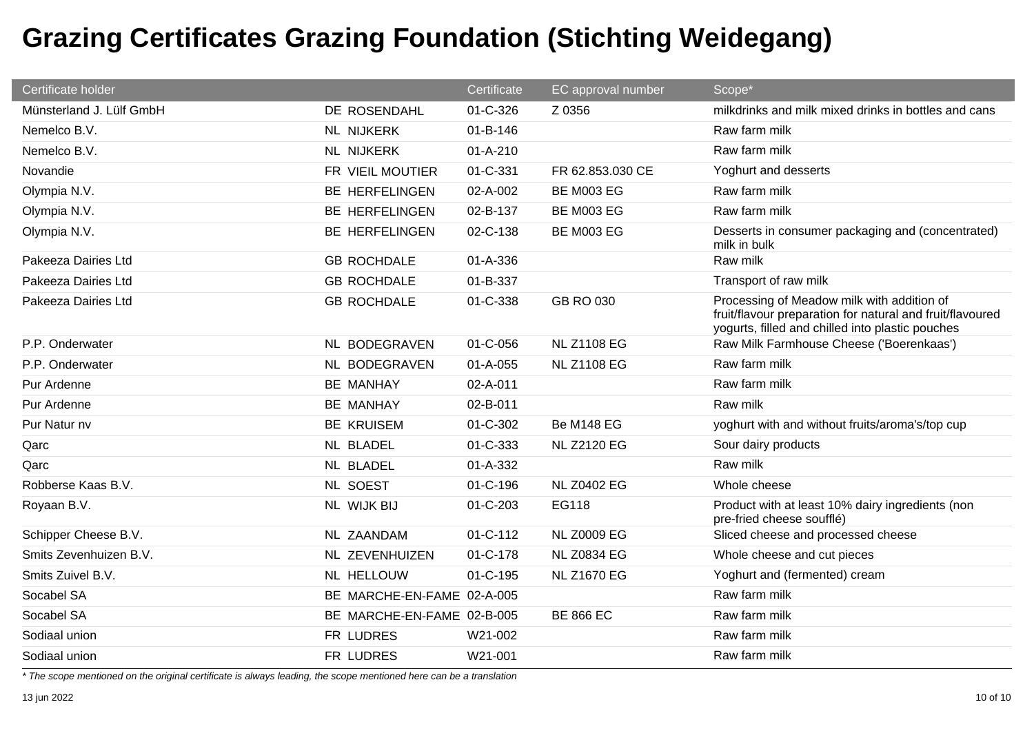| Certificate holder       |                            | Certificate    | EC approval number | Scope*                                                                                                                                                      |
|--------------------------|----------------------------|----------------|--------------------|-------------------------------------------------------------------------------------------------------------------------------------------------------------|
| Münsterland J. Lülf GmbH | DE ROSENDAHL               | 01-C-326       | Z 0356             | milkdrinks and milk mixed drinks in bottles and cans                                                                                                        |
| Nemelco B.V.             | <b>NL NIJKERK</b>          | 01-B-146       |                    | Raw farm milk                                                                                                                                               |
| Nemelco B.V.             | <b>NL NIJKERK</b>          | $01 - A - 210$ |                    | Raw farm milk                                                                                                                                               |
| Novandie                 | FR VIEIL MOUTIER           | 01-C-331       | FR 62.853.030 CE   | Yoghurt and desserts                                                                                                                                        |
| Olympia N.V.             | <b>BE HERFELINGEN</b>      | 02-A-002       | <b>BE M003 EG</b>  | Raw farm milk                                                                                                                                               |
| Olympia N.V.             | <b>BE HERFELINGEN</b>      | 02-B-137       | <b>BE M003 EG</b>  | Raw farm milk                                                                                                                                               |
| Olympia N.V.             | <b>BE HERFELINGEN</b>      | 02-C-138       | <b>BE M003 EG</b>  | Desserts in consumer packaging and (concentrated)<br>milk in bulk                                                                                           |
| Pakeeza Dairies Ltd      | <b>GB ROCHDALE</b>         | 01-A-336       |                    | Raw milk                                                                                                                                                    |
| Pakeeza Dairies Ltd      | <b>GB ROCHDALE</b>         | 01-B-337       |                    | Transport of raw milk                                                                                                                                       |
| Pakeeza Dairies Ltd      | <b>GB ROCHDALE</b>         | 01-C-338       | GB RO 030          | Processing of Meadow milk with addition of<br>fruit/flavour preparation for natural and fruit/flavoured<br>yogurts, filled and chilled into plastic pouches |
| P.P. Onderwater          | NL BODEGRAVEN              | 01-C-056       | <b>NL Z1108 EG</b> | Raw Milk Farmhouse Cheese ('Boerenkaas')                                                                                                                    |
| P.P. Onderwater          | NL BODEGRAVEN              | 01-A-055       | <b>NL Z1108 EG</b> | Raw farm milk                                                                                                                                               |
| Pur Ardenne              | <b>BE MANHAY</b>           | 02-A-011       |                    | Raw farm milk                                                                                                                                               |
| Pur Ardenne              | <b>BE MANHAY</b>           | 02-B-011       |                    | Raw milk                                                                                                                                                    |
| Pur Natur nv             | <b>BE KRUISEM</b>          | 01-C-302       | <b>Be M148 EG</b>  | yoghurt with and without fruits/aroma's/top cup                                                                                                             |
| Qarc                     | NL BLADEL                  | 01-C-333       | <b>NL Z2120 EG</b> | Sour dairy products                                                                                                                                         |
| Qarc                     | NL BLADEL                  | 01-A-332       |                    | Raw milk                                                                                                                                                    |
| Robberse Kaas B.V.       | <b>NL SOEST</b>            | 01-C-196       | <b>NL Z0402 EG</b> | Whole cheese                                                                                                                                                |
| Royaan B.V.              | NL WIJK BIJ                | 01-C-203       | EG118              | Product with at least 10% dairy ingredients (non<br>pre-fried cheese soufflé)                                                                               |
| Schipper Cheese B.V.     | NL ZAANDAM                 | $01 - C - 112$ | <b>NL Z0009 EG</b> | Sliced cheese and processed cheese                                                                                                                          |
| Smits Zevenhuizen B.V.   | NL ZEVENHUIZEN             | 01-C-178       | <b>NL Z0834 EG</b> | Whole cheese and cut pieces                                                                                                                                 |
| Smits Zuivel B.V.        | NL HELLOUW                 | 01-C-195       | <b>NL Z1670 EG</b> | Yoghurt and (fermented) cream                                                                                                                               |
| Socabel SA               | BE MARCHE-EN-FAME 02-A-005 |                |                    | Raw farm milk                                                                                                                                               |
| Socabel SA               | BE MARCHE-EN-FAME 02-B-005 |                | <b>BE 866 EC</b>   | Raw farm milk                                                                                                                                               |
| Sodiaal union            | FR LUDRES                  | W21-002        |                    | Raw farm milk                                                                                                                                               |
| Sodiaal union            | FR LUDRES                  | W21-001        |                    | Raw farm milk                                                                                                                                               |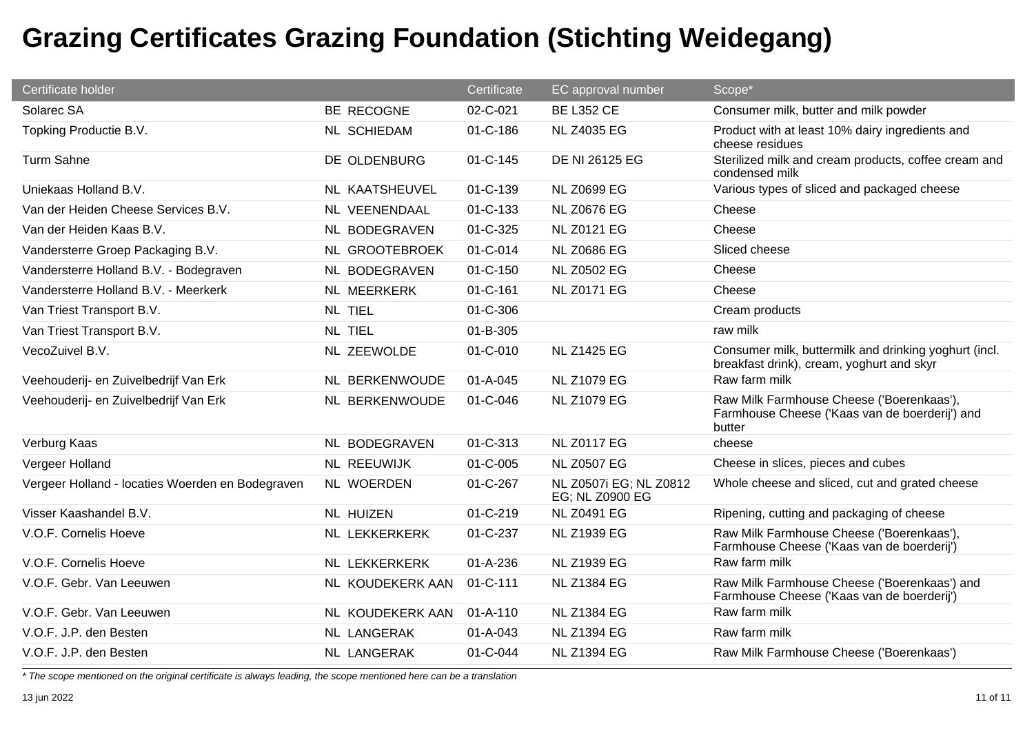| Certificate holder                               |                      | Certificate    | EC approval number                        | Scope*                                                                                                |
|--------------------------------------------------|----------------------|----------------|-------------------------------------------|-------------------------------------------------------------------------------------------------------|
| Solarec SA                                       | BE RECOGNE           | 02-C-021       | <b>BE L352 CE</b>                         | Consumer milk, butter and milk powder                                                                 |
| Topking Productie B.V.                           | <b>NL SCHIEDAM</b>   | 01-C-186       | <b>NL Z4035 EG</b>                        | Product with at least 10% dairy ingredients and<br>cheese residues                                    |
| Turm Sahne                                       | DE OLDENBURG         | 01-C-145       | DE NI 26125 EG                            | Sterilized milk and cream products, coffee cream and<br>condensed milk                                |
| Uniekaas Holland B.V.                            | NL KAATSHEUVEL       | 01-C-139       | <b>NL Z0699 EG</b>                        | Various types of sliced and packaged cheese                                                           |
| Van der Heiden Cheese Services B.V.              | NL VEENENDAAL        | 01-C-133       | <b>NL Z0676 EG</b>                        | Cheese                                                                                                |
| Van der Heiden Kaas B.V.                         | NL BODEGRAVEN        | 01-C-325       | <b>NL Z0121 EG</b>                        | Cheese                                                                                                |
| Vandersterre Groep Packaging B.V.                | NL GROOTEBROEK       | 01-C-014       | <b>NL Z0686 EG</b>                        | Sliced cheese                                                                                         |
| Vandersterre Holland B.V. - Bodegraven           | NL BODEGRAVEN        | 01-C-150       | <b>NL Z0502 EG</b>                        | Cheese                                                                                                |
| Vandersterre Holland B.V. - Meerkerk             | <b>NL MEERKERK</b>   | $01 - C - 161$ | <b>NL Z0171 EG</b>                        | Cheese                                                                                                |
| Van Triest Transport B.V.                        | <b>NL TIEL</b>       | 01-C-306       |                                           | Cream products                                                                                        |
| Van Triest Transport B.V.                        | <b>NL TIEL</b>       | 01-B-305       |                                           | raw milk                                                                                              |
| VecoZuivel B.V.                                  | NL ZEEWOLDE          | 01-C-010       | <b>NL Z1425 EG</b>                        | Consumer milk, buttermilk and drinking yoghurt (incl.<br>breakfast drink), cream, yoghurt and skyr    |
| Veehouderij- en Zuivelbedrijf Van Erk            | NL BERKENWOUDE       | $01 - A - 045$ | <b>NL Z1079 EG</b>                        | Raw farm milk                                                                                         |
| Veehouderij- en Zuivelbedrijf Van Erk            | NL BERKENWOUDE       | 01-C-046       | <b>NL Z1079 EG</b>                        | Raw Milk Farmhouse Cheese ('Boerenkaas'),<br>Farmhouse Cheese ('Kaas van de boerderij') and<br>butter |
| Verburg Kaas                                     | NL BODEGRAVEN        | 01-C-313       | <b>NL Z0117 EG</b>                        | cheese                                                                                                |
| Vergeer Holland                                  | <b>NL REEUWIJK</b>   | 01-C-005       | <b>NL Z0507 EG</b>                        | Cheese in slices, pieces and cubes                                                                    |
| Vergeer Holland - locaties Woerden en Bodegraven | NL WOERDEN           | 01-C-267       | NL Z0507i EG; NL Z0812<br>EG; NL Z0900 EG | Whole cheese and sliced, cut and grated cheese                                                        |
| Visser Kaashandel B.V.                           | <b>NL HUIZEN</b>     | 01-C-219       | <b>NL Z0491 EG</b>                        | Ripening, cutting and packaging of cheese                                                             |
| V.O.F. Cornelis Hoeve                            | <b>NL LEKKERKERK</b> | 01-C-237       | <b>NL Z1939 EG</b>                        | Raw Milk Farmhouse Cheese ('Boerenkaas'),<br>Farmhouse Cheese ('Kaas van de boerderij')               |
| V.O.F. Cornelis Hoeve                            | NL LEKKERKERK        | $01 - A - 236$ | <b>NL Z1939 EG</b>                        | Raw farm milk                                                                                         |
| V.O.F. Gebr. Van Leeuwen                         | NL KOUDEKERK AAN     | 01-C-111       | <b>NL Z1384 EG</b>                        | Raw Milk Farmhouse Cheese ('Boerenkaas') and<br>Farmhouse Cheese ('Kaas van de boerderij')            |
| V.O.F. Gebr. Van Leeuwen                         | NL KOUDEKERK AAN     | $01 - A - 110$ | <b>NL Z1384 EG</b>                        | Raw farm milk                                                                                         |
| V.O.F. J.P. den Besten                           | NL LANGERAK          | $01 - A - 043$ | <b>NL Z1394 EG</b>                        | Raw farm milk                                                                                         |
| V.O.F. J.P. den Besten                           | NL LANGERAK          | 01-C-044       | <b>NL Z1394 EG</b>                        | Raw Milk Farmhouse Cheese ('Boerenkaas')                                                              |